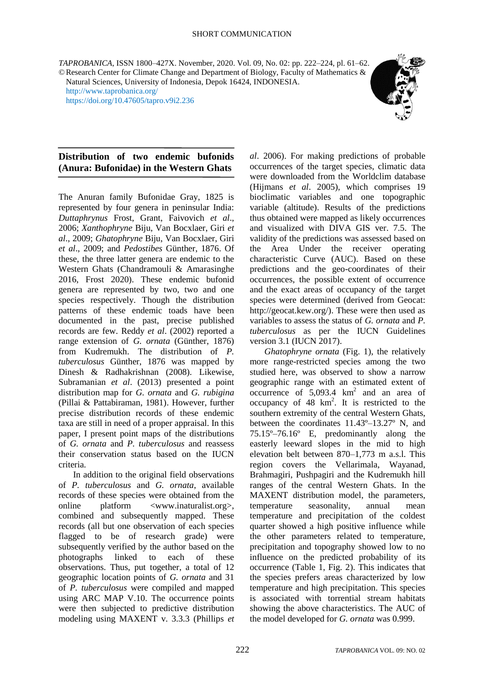*TAPROBANICA*, ISSN 1800–427X. November, 2020. Vol. 09, No. 02: pp. 222–224, pl. 61–62. ©Research Center for Climate Change and Department of Biology, Faculty of Mathematics &

Natural Sciences, University of Indonesia, Depok 16424, INDONESIA. <http://www.taprobanica.org/> <https://doi.org/10.47605/tapro.v9i2.236>



### **Distribution of two endemic bufonids (Anura: Bufonidae) in the Western Ghats**

The Anuran family Bufonidae Gray, 1825 is represented by four genera in peninsular India: *Duttaphrynus* Frost, Grant, Faivovich *et al*., 2006; *Xanthophryne* Biju, Van Bocxlaer, Giri *et al*., 2009; *Ghatophryne* Biju, Van Bocxlaer, Giri *et al*., 2009; and *Pedostibes* Günther, 1876. Of these, the three latter genera are endemic to the Western Ghats (Chandramouli & Amarasinghe 2016, Frost 2020). These endemic bufonid genera are represented by two, two and one species respectively. Though the distribution patterns of these endemic toads have been documented in the past, precise published records are few. Reddy *et al*. (2002) reported a range extension of *G. ornata* (Günther, 1876) from Kudremukh. The distribution of *P. tuberculosus* Günther, 1876 was mapped by Dinesh & Radhakrishnan (2008). Likewise, Subramanian *et al*. (2013) presented a point distribution map for *G. ornata* and *G. rubigina* (Pillai & Pattabiraman, 1981). However, further precise distribution records of these endemic taxa are still in need of a proper appraisal. In this paper, I present point maps of the distributions of *G. ornata* and *P. tuberculosus* and reassess their conservation status based on the IUCN criteria.

In addition to the original field observations of *P. tuberculosus* and *G. ornata*, available records of these species were obtained from the online platform <www.inaturalist.org>, combined and subsequently mapped. These records (all but one observation of each species flagged to be of research grade) were subsequently verified by the author based on the photographs linked to each of these observations. Thus, put together, a total of 12 geographic location points of *G. ornata* and 31 of *P. tuberculosus* were compiled and mapped using ARC MAP V.10. The occurrence points were then subjected to predictive distribution modeling using MAXENT v. 3.3.3 (Phillips *et* 

*al*. 2006). For making predictions of probable occurrences of the target species, climatic data were downloaded from the Worldclim database (Hijmans *et al*. 2005), which comprises 19 bioclimatic variables and one topographic variable (altitude). Results of the predictions thus obtained were mapped as likely occurrences and visualized with DIVA GIS ver. 7.5. The validity of the predictions was assessed based on the Area Under the receiver operating characteristic Curve (AUC). Based on these predictions and the geo-coordinates of their occurrences, the possible extent of occurrence and the exact areas of occupancy of the target species were determined (derived from Geocat: http://geocat.kew.org/). These were then used as variables to assess the status of *G. ornata* and *P. tuberculosus* as per the IUCN Guidelines version 3.1 (IUCN 2017).

*Ghatophryne ornata* (Fig. 1), the relatively more range-restricted species among the two studied here, was observed to show a narrow geographic range with an estimated extent of occurrence of  $5,093.4 \text{ km}^2$  and an area of occupancy of  $48 \text{ km}^2$ . It is restricted to the southern extremity of the central Western Ghats, between the coordinates 11.43º–13.27º N, and 75.15º–76.16º E, predominantly along the easterly leeward slopes in the mid to high elevation belt between 870–1,773 m a.s.l. This region covers the Vellarimala, Wayanad, Brahmagiri, Pushpagiri and the Kudremukh hill ranges of the central Western Ghats. In the MAXENT distribution model, the parameters, temperature seasonality, annual mean temperature and precipitation of the coldest quarter showed a high positive influence while the other parameters related to temperature, precipitation and topography showed low to no influence on the predicted probability of its occurrence (Table 1, Fig. 2). This indicates that the species prefers areas characterized by low temperature and high precipitation. This species is associated with torrential stream habitats showing the above characteristics. The AUC of the model developed for *G. ornata* was 0.999.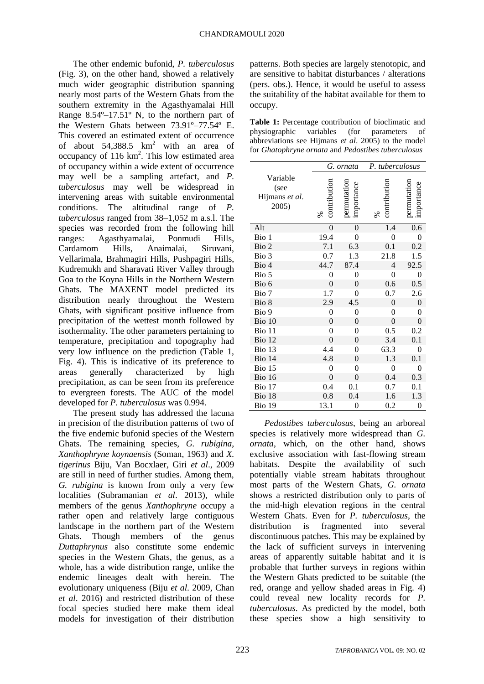The other endemic bufonid, *P. tuberculosus* (Fig. 3), on the other hand, showed a relatively much wider geographic distribution spanning nearly most parts of the Western Ghats from the southern extremity in the Agasthyamalai Hill Range 8.54º–17.51º N, to the northern part of the Western Ghats between 73.91º–77.54º E. This covered an estimated extent of occurrence of about  $54,388.5$  km<sup>2</sup> with an area of occupancy of  $116 \text{ km}^2$ . This low estimated area of occupancy within a wide extent of occurrence may well be a sampling artefact, and *P. tuberculosus* may well be widespread in intervening areas with suitable environmental conditions. The altitudinal range of *P. tuberculosus* ranged from 38–1,052 m a.s.l. The species was recorded from the following hill ranges: Agasthyamalai, Ponmudi Hills, Cardamom Hills, Anaimalai, Siruvani, Vellarimala, Brahmagiri Hills, Pushpagiri Hills, Kudremukh and Sharavati River Valley through Goa to the Koyna Hills in the Northern Western Ghats. The MAXENT model predicted its distribution nearly throughout the Western Ghats, with significant positive influence from precipitation of the wettest month followed by isothermality. The other parameters pertaining to temperature, precipitation and topography had very low influence on the prediction (Table 1, Fig. 4). This is indicative of its preference to areas generally characterized by high precipitation, as can be seen from its preference to evergreen forests. The AUC of the model developed for *P. tuberculosus* was 0.994.

The present study has addressed the lacuna in precision of the distribution patterns of two of the five endemic bufonid species of the Western Ghats. The remaining species, *G. rubigina*, *Xanthophryne koynaensis* (Soman, 1963) and *X. tigerinus* Biju, Van Bocxlaer, Giri *et al*., 2009 are still in need of further studies. Among them, *G. rubigina* is known from only a very few localities (Subramanian *et al*. 2013), while members of the genus *Xanthophryne* occupy a rather open and relatively large contiguous landscape in the northern part of the Western Ghats. Though members of the genus *Duttaphrynus* also constitute some endemic species in the Western Ghats, the genus, as a whole, has a wide distribution range, unlike the endemic lineages dealt with herein. The evolutionary uniqueness (Biju *et al*. 2009, Chan *et al*. 2016) and restricted distribution of these focal species studied here make them ideal models for investigation of their distribution

patterns. Both species are largely stenotopic, and are sensitive to habitat disturbances / alterations (pers. obs.). Hence, it would be useful to assess the suitability of the habitat available for them to occupy.

**Table 1:** Percentage contribution of bioclimatic and physiographic variables (for parameters of abbreviations see Hijmans *et al*. 2005) to the model for *Ghatophryne ornata* and *Pedostibes tuberculosus*

|                                             | G. ornata         |                           | P. tuberculosus   |                          |
|---------------------------------------------|-------------------|---------------------------|-------------------|--------------------------|
| Variable<br>(see<br>Hijmans et al.<br>2005) | contribution<br>℅ | permutation<br>importance | contribution<br>℅ | permutation<br>mportance |
| Alt                                         | $\overline{0}$    | $\boldsymbol{0}$          | 1.4               | 0.6                      |
| Bio 1                                       | 19.4              | $\boldsymbol{0}$          | $\boldsymbol{0}$  | 0                        |
| Bio 2                                       | 7.1               | 6.3                       | 0.1               | 0.2                      |
| Bio 3                                       | 0.7               | 1.3                       | 21.8              | 1.5                      |
| Bio 4                                       | 44.7              | 87.4                      | 4                 | 92.5                     |
| Bio 5                                       | $\overline{0}$    | $\overline{0}$            | $\overline{0}$    | 0                        |
| Bio 6                                       | $\boldsymbol{0}$  | $\overline{0}$            | 0.6               | 0.5                      |
| Bio 7                                       | 1.7               | $\overline{0}$            | 0.7               | 2.6                      |
| Bio 8                                       | 2.9               | 4.5                       | $\boldsymbol{0}$  | $\boldsymbol{0}$         |
| Bio 9                                       | $\overline{0}$    | $\overline{0}$            | $\boldsymbol{0}$  | 0                        |
| Bio 10                                      | $\boldsymbol{0}$  | $\boldsymbol{0}$          | 0                 | $\overline{0}$           |
| Bio 11                                      | 0                 | $\overline{0}$            | 0.5               | 0.2                      |
| Bio 12                                      | $\theta$          | $\theta$                  | 3.4               | 0.1                      |
| Bio 13                                      | 4.4               | $\overline{0}$            | 63.3              | $\overline{0}$           |
| Bio 14                                      | 4.8               | $\boldsymbol{0}$          | 1.3               | 0.1                      |
| Bio 15                                      | $\boldsymbol{0}$  | $\overline{0}$            | $\boldsymbol{0}$  | 0                        |
| Bio 16                                      | $\overline{0}$    | $\overline{0}$            | 0.4               | 0.3                      |
| Bio 17                                      | 0.4               | 0.1                       | 0.7               | 0.1                      |
| Bio 18                                      | 0.8               | 0.4                       | 1.6               | 1.3                      |
| Bio 19                                      | 13.1              | $\boldsymbol{0}$          | 0.2               | $\boldsymbol{0}$         |

*Pedostibes tuberculosus*, being an arboreal species is relatively more widespread than *G. ornata*, which, on the other hand, shows exclusive association with fast-flowing stream habitats. Despite the availability of such potentially viable stream habitats throughout most parts of the Western Ghats, *G. ornata* shows a restricted distribution only to parts of the mid-high elevation regions in the central Western Ghats. Even for *P. tuberculosus*, the distribution is fragmented into several discontinuous patches. This may be explained by the lack of sufficient surveys in intervening areas of apparently suitable habitat and it is probable that further surveys in regions within the Western Ghats predicted to be suitable (the red, orange and yellow shaded areas in Fig. 4) could reveal new locality records for *P. tuberculosus*. As predicted by the model, both these species show a high sensitivity to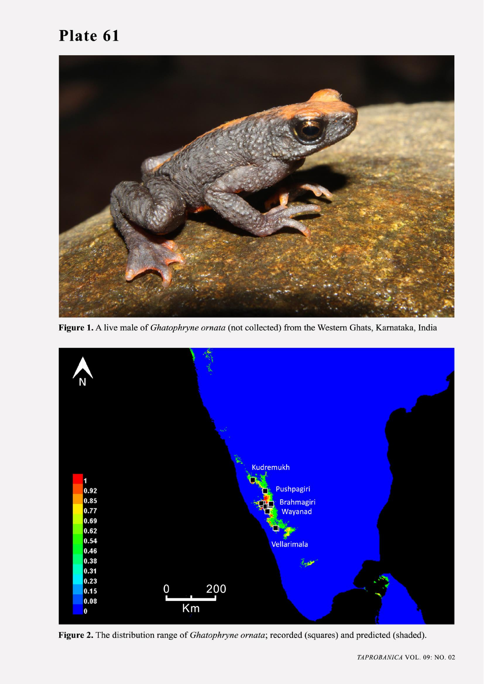## Plate 61



Figure 1. A live male of Ghatophryne ornata (not collected) from the Western Ghats, Karnataka, India



Figure 2. The distribution range of Ghatophryne ornata; recorded (squares) and predicted (shaded).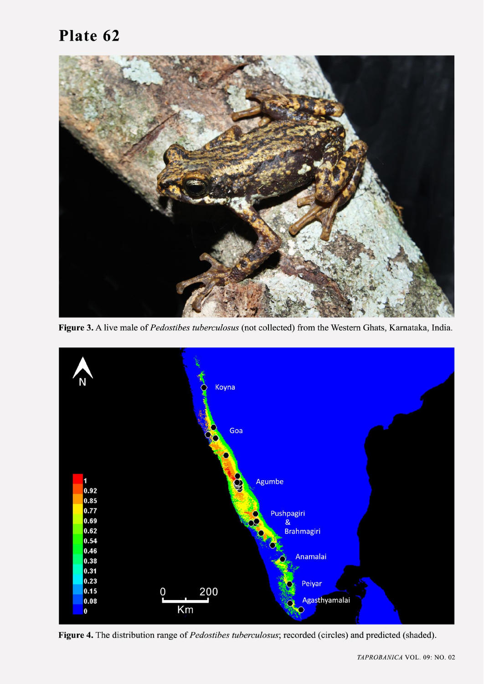# Plate 62



Figure 3. A live male of Pedostibes tuberculosus (not collected) from the Western Ghats, Karnataka, India.



Figure 4. The distribution range of Pedostibes tuberculosus; recorded (circles) and predicted (shaded).